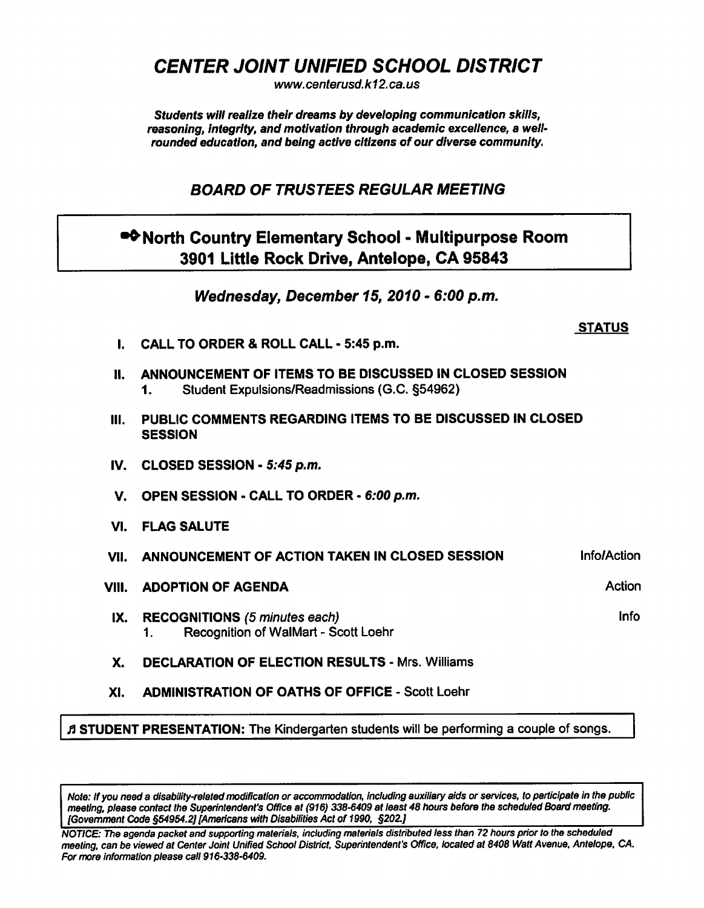CENTER JOINT UNIFIED SCHOOL DISTRICT

www. centerusd. k12. ca. us

Students will realize their dreams by developing communication skills, reasoning, integrity, and motivation through academic excellence, a wellrounded education, and being active citizens of our diverse community.

## BOARD OF TRUSTEES REGULAR MEETING

## •<sup>•</sup>North Country Elementary School - Multipurpose Room 3901 Little Rock Drive, Antelope, CA 95843

Wednesday, December 15, 2010 - 6:00 p.m.

## **STATUS**

- I. CALL TO ORDER & ROLL CALL 5:45 p.m.
- II. ANNOUNCEMENT OF ITEMS TO BE DISCUSSED IN CLOSED SESSION 1. Student Expulsions/Readmissions (G.C. §54962)
- III. PUBLIC COMMENTS REGARDING ITEMS TO BE DISCUSSED IN CLOSED **SESSION**
- IV. CLOSED SESSION 5:45 p.m.
- V. OPEN SESSION CALL TO ORDER 6:00 p.m.
- VI. FLAG SALUTE
- VII. ANNOUNCEMENT OF ACTION TAKEN IN CLOSED SESSION **Infolloction**
- VIII. ADOPTION OF AGENDA Action Action
- IX. RECOGNITIONS (5 minutes each) Info and the state of the state of the state of the state of the state of the state of the state of the state of the state of the state of the state of the state of the state of the state 1. Recognition of WalMart - Scott Loehr
- X. DECLARATION OF ELECTION RESULTS Mrs. Williams
- XI. ADMINISTRATION OF OATHS OF OFFICE Scott Loehr

ft STUDENT PRESENTATION: The Kindergarten students will be performing a couple of songs.

Note: If you need a disability-related modification or accommodation, including auxiliary aids or services, to participate in the public meeting, please contact the Superintendent's Office at (916) 338-6409 at least 48 hours before the scheduled Board meeting. [Government Code §54954.2) [Americans with Disabilities Act of 1990, §202.]

NOTICE: The agenda packet and supporting materials, including materials distributed less than 72 hours prior to the scheduled meeting, can be viewed at Center Joint Unified School District, Superintendent's Office, located at 8408 Watt Avenue. Antelope, CA. For more information please call 916-338-6409.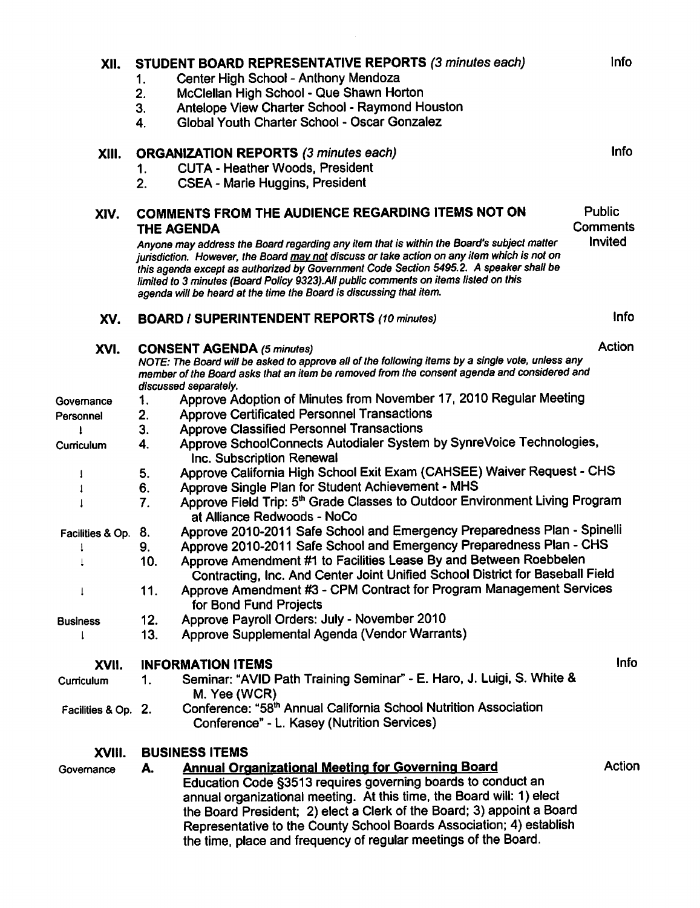| XII.                |                                                                        | STUDENT BOARD REPRESENTATIVE REPORTS (3 minutes each)                                                                                                                                                                                                                                                                                                 | Info                      |
|---------------------|------------------------------------------------------------------------|-------------------------------------------------------------------------------------------------------------------------------------------------------------------------------------------------------------------------------------------------------------------------------------------------------------------------------------------------------|---------------------------|
|                     | 1.                                                                     | Center High School - Anthony Mendoza                                                                                                                                                                                                                                                                                                                  |                           |
|                     | 2.                                                                     | McClellan High School - Que Shawn Horton                                                                                                                                                                                                                                                                                                              |                           |
|                     | 3.                                                                     | Antelope View Charter School - Raymond Houston                                                                                                                                                                                                                                                                                                        |                           |
|                     | 4.                                                                     | Global Youth Charter School - Oscar Gonzalez                                                                                                                                                                                                                                                                                                          |                           |
| XIII.               |                                                                        | <b>ORGANIZATION REPORTS (3 minutes each)</b>                                                                                                                                                                                                                                                                                                          | Info                      |
|                     | 1.                                                                     | <b>CUTA - Heather Woods, President</b>                                                                                                                                                                                                                                                                                                                |                           |
|                     | 2.                                                                     | <b>CSEA - Marie Huggins, President</b>                                                                                                                                                                                                                                                                                                                |                           |
| XIV.                | COMMENTS FROM THE AUDIENCE REGARDING ITEMS NOT ON<br><b>THE AGENDA</b> |                                                                                                                                                                                                                                                                                                                                                       | Public<br><b>Comments</b> |
|                     |                                                                        | Anyone may address the Board regarding any item that is within the Board's subject matter                                                                                                                                                                                                                                                             | Invited                   |
|                     |                                                                        | jurisdiction. However, the Board may not discuss or take action on any item which is not on<br>this agenda except as authorized by Government Code Section 5495.2. A speaker shall be<br>limited to 3 minutes (Board Policy 9323). All public comments on items listed on this<br>agenda will be heard at the time the Board is discussing that item. |                           |
| XV.                 |                                                                        | <b>BOARD / SUPERINTENDENT REPORTS (10 minutes)</b>                                                                                                                                                                                                                                                                                                    | <b>Info</b>               |
| XVI.                |                                                                        | <b>CONSENT AGENDA (5 minutes)</b>                                                                                                                                                                                                                                                                                                                     | Action                    |
|                     |                                                                        | NOTE: The Board will be asked to approve all of the following items by a single vote, unless any<br>member of the Board asks that an item be removed from the consent agenda and considered and<br>discussed separately.                                                                                                                              |                           |
| Governance          | 1.                                                                     | Approve Adoption of Minutes from November 17, 2010 Regular Meeting                                                                                                                                                                                                                                                                                    |                           |
| Personnel           | 2.                                                                     | <b>Approve Certificated Personnel Transactions</b>                                                                                                                                                                                                                                                                                                    |                           |
|                     | 3.                                                                     | <b>Approve Classified Personnel Transactions</b>                                                                                                                                                                                                                                                                                                      |                           |
| Curriculum          | 4.                                                                     | Approve SchoolConnects Autodialer System by SynreVoice Technologies,                                                                                                                                                                                                                                                                                  |                           |
|                     |                                                                        | Inc. Subscription Renewal                                                                                                                                                                                                                                                                                                                             |                           |
| 1                   | 5.                                                                     | Approve California High School Exit Exam (CAHSEE) Waiver Request - CHS                                                                                                                                                                                                                                                                                |                           |
|                     | 6.                                                                     | Approve Single Plan for Student Achievement - MHS                                                                                                                                                                                                                                                                                                     |                           |
|                     | 7.                                                                     | Approve Field Trip: 5 <sup>th</sup> Grade Classes to Outdoor Environment Living Program<br>at Alliance Redwoods - NoCo                                                                                                                                                                                                                                |                           |
| Facilities & Op.    | 8.                                                                     | Approve 2010-2011 Safe School and Emergency Preparedness Plan - Spinelli                                                                                                                                                                                                                                                                              |                           |
|                     | 9.                                                                     | Approve 2010-2011 Safe School and Emergency Preparedness Plan - CHS                                                                                                                                                                                                                                                                                   |                           |
|                     | 10.                                                                    | Approve Amendment #1 to Facilities Lease By and Between Roebbelen                                                                                                                                                                                                                                                                                     |                           |
|                     |                                                                        | Contracting, Inc. And Center Joint Unified School District for Baseball Field                                                                                                                                                                                                                                                                         |                           |
| 1                   | 11.                                                                    | Approve Amendment #3 - CPM Contract for Program Management Services                                                                                                                                                                                                                                                                                   |                           |
|                     |                                                                        | for Bond Fund Projects                                                                                                                                                                                                                                                                                                                                |                           |
| <b>Business</b>     | 12.                                                                    | Approve Payroll Orders: July - November 2010                                                                                                                                                                                                                                                                                                          |                           |
| 1                   | 13.                                                                    | Approve Supplemental Agenda (Vendor Warrants)                                                                                                                                                                                                                                                                                                         |                           |
| XVII.               |                                                                        | <b>INFORMATION ITEMS</b>                                                                                                                                                                                                                                                                                                                              | <b>Info</b>               |
| Curriculum          | 1.                                                                     | Seminar: "AVID Path Training Seminar" - E. Haro, J. Luigi, S. White &                                                                                                                                                                                                                                                                                 |                           |
|                     |                                                                        | M. Yee (WCR)                                                                                                                                                                                                                                                                                                                                          |                           |
| Facilities & Op. 2. |                                                                        | Conference: "58 <sup>th</sup> Annual California School Nutrition Association                                                                                                                                                                                                                                                                          |                           |
|                     |                                                                        | Conference" - L. Kasey (Nutrition Services)                                                                                                                                                                                                                                                                                                           |                           |
| XVIII.              |                                                                        | <b>BUSINESS ITEMS</b>                                                                                                                                                                                                                                                                                                                                 |                           |
| Governance          | А.                                                                     | <b>Annual Organizational Meeting for Governing Board</b>                                                                                                                                                                                                                                                                                              | Action                    |
|                     |                                                                        | Education Code §3513 requires governing boards to conduct an                                                                                                                                                                                                                                                                                          |                           |
|                     |                                                                        | annual organizational meeting. At this time, the Board will: 1) elect                                                                                                                                                                                                                                                                                 |                           |
|                     |                                                                        | the Board President; 2) elect a Clerk of the Board; 3) appoint a Board                                                                                                                                                                                                                                                                                |                           |
|                     |                                                                        | Representative to the County School Boards Association; 4) establish                                                                                                                                                                                                                                                                                  |                           |
|                     |                                                                        | the time, place and frequency of regular meetings of the Board.                                                                                                                                                                                                                                                                                       |                           |
|                     |                                                                        |                                                                                                                                                                                                                                                                                                                                                       |                           |